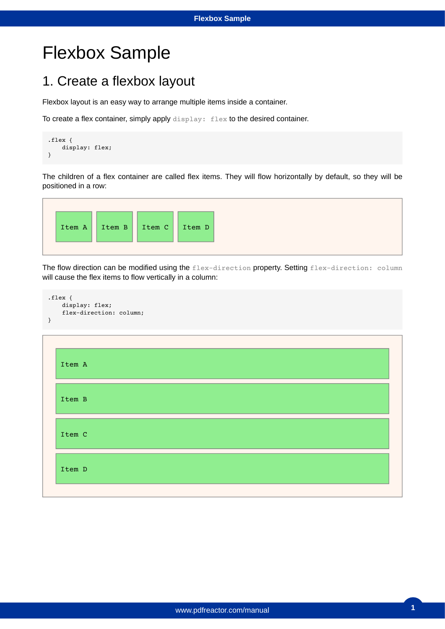### 1. Create a flexbox layout

Flexbox layout is an easy way to arrange multiple items inside a container.

To create a flex container, simply apply display: flex to the desired container.

```
.flex {
     display: flex;
}
```
The children of a flex container are called flex items. They will flow horizontally by default, so they will be positioned in a row:



The flow direction can be modified using the flex-direction property. Setting flex-direction: column will cause the flex items to flow vertically in a column:



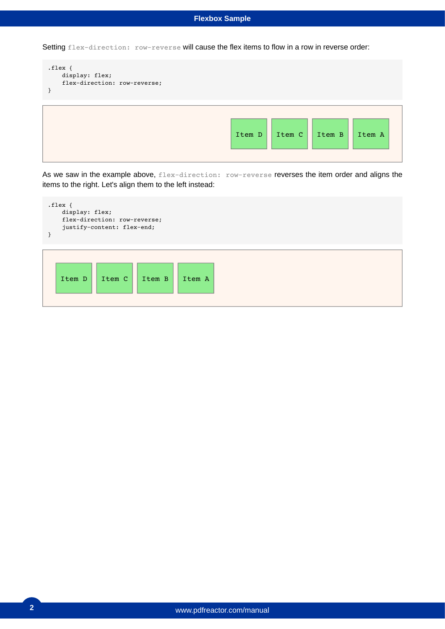Setting flex-direction: row-reverse will cause the flex items to flow in a row in reverse order:

```
.flex {
    display: flex;
    flex-direction: row-reverse;
}
                                                 Item D | Item C | Item B | Item A
```
As we saw in the example above, flex-direction: row-reverse reverses the item order and aligns the items to the right. Let's align them to the left instead:

```
.flex {
    display: flex;
    flex-direction: row-reverse;
    justify-content: flex-end;
}
```
![](_page_1_Figure_5.jpeg)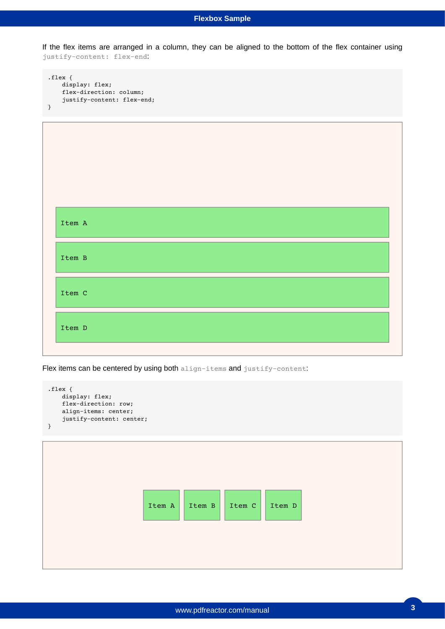If the flex items are arranged in a column, they can be aligned to the bottom of the flex container using justify-content: flex-end:

```
.flex {
    display: flex;
    flex-direction: column;
    justify-content: flex-end;
}
```
![](_page_2_Figure_3.jpeg)

Flex items can be centered by using both align-items and justify-content:

```
.flex {
    display: flex;
    flex-direction: row;
    align-items: center;
    justify-content: center;
}
```
![](_page_2_Figure_6.jpeg)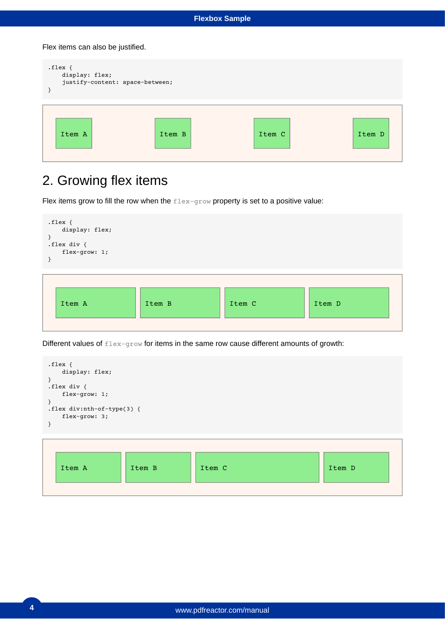Flex items can also be justified.

| $.$ flex {<br>display: flex;<br>justify-content: space-between; |        |        |        |
|-----------------------------------------------------------------|--------|--------|--------|
| Item A                                                          | Item B | Item C | Item D |

## 2. Growing flex items

Flex items grow to fill the row when the  $f$ lex-grow property is set to a positive value:

![](_page_3_Figure_5.jpeg)

Different values of flex-grow for items in the same row cause different amounts of growth:

```
.flex {
    display: flex;
}
.flex div {
    flex-grow: 1;
}
.flex div:nth-of-type(3) {
    flex-grow: 3;
}
```
![](_page_3_Figure_8.jpeg)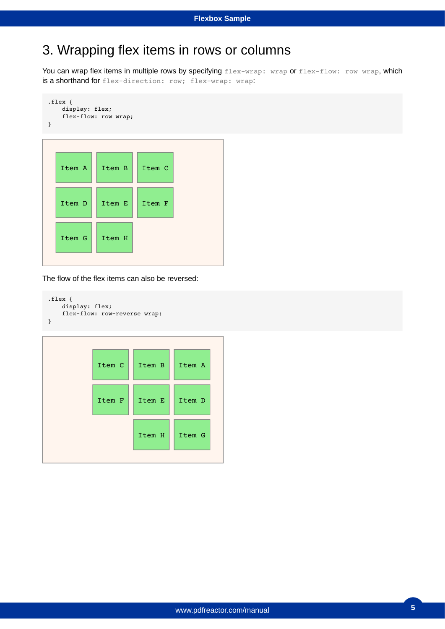### 3. Wrapping flex items in rows or columns

You can wrap flex items in multiple rows by specifying flex-wrap: wrap or flex-flow: row wrap, which is a shorthand for flex-direction: row; flex-wrap: wrap:

```
.flex {
    display: flex;
    flex-flow: row wrap;
}
```
![](_page_4_Figure_4.jpeg)

The flow of the flex items can also be reversed:

```
.flex {
     display: flex;
     flex-flow: row-reverse wrap;
}
```
![](_page_4_Figure_7.jpeg)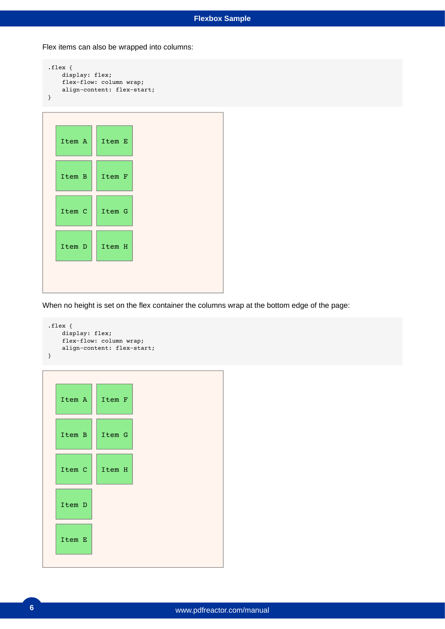Flex items can also be wrapped into columns:

```
.flex {
    display: flex;
    flex-flow: column wrap;
    align-content: flex-start;
}
```

| Item A | Item E |
|--------|--------|
| Item B | Item F |
| Item C | Item G |
| Item D | Item H |

When no height is set on the flex container the columns wrap at the bottom edge of the page:

```
.flex {
    display: flex;
    flex-flow: column wrap;
    align-content: flex-start;
}
```

```
Item A
Item B
Item C
Item D
Item E
         Item F
         Item G
         Item H
```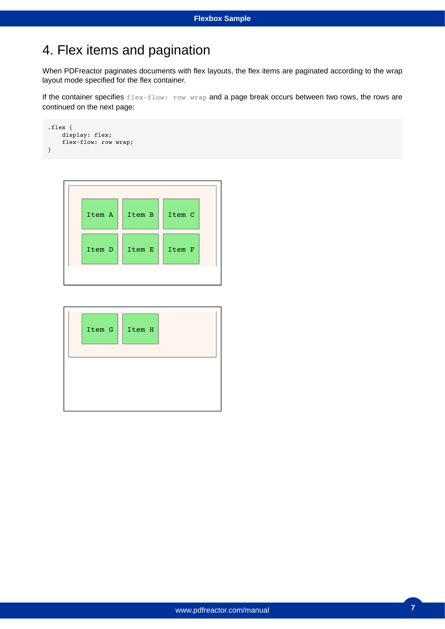### 4. Flex items and pagination

When PDFreactor paginates documents with flex layouts, the flex items are paginated according to the wrap layout mode specified for the flex container.

If the container specifies flex-flow: row wrap and a page break occurs between two rows, the rows are continued on the next page:

```
.flex {
     display: flex;
     flex-flow: row wrap;
}
```
![](_page_6_Figure_5.jpeg)

![](_page_6_Figure_6.jpeg)